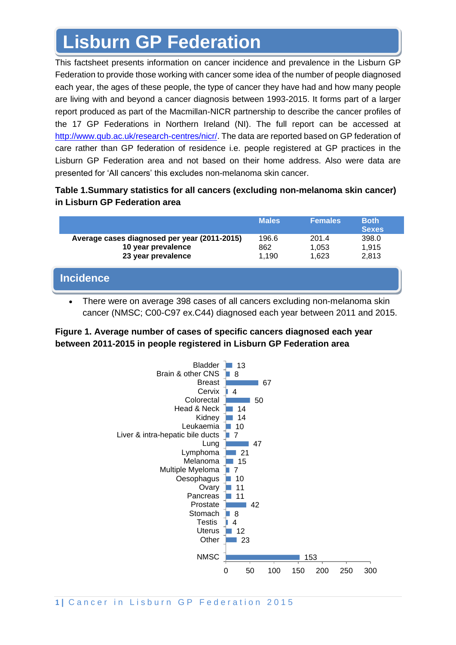# **Lisburn GP Federation**

This factsheet presents information on cancer incidence and prevalence in the Lisburn GP Federation to provide those working with cancer some idea of the number of people diagnosed each year, the ages of these people, the type of cancer they have had and how many people are living with and beyond a cancer diagnosis between 1993-2015. It forms part of a larger report produced as part of the Macmillan-NICR partnership to describe the cancer profiles of the 17 GP Federations in Northern Ireland (NI). The full report can be accessed at [http://www.qub.ac.uk/research-centres/nicr/.](http://www.qub.ac.uk/research-centres/nicr/) The data are reported based on GP federation of care rather than GP federation of residence i.e. people registered at GP practices in the Lisburn GP Federation area and not based on their home address. Also were data are presented for 'All cancers' this excludes non-melanoma skin cancer.

## **Table 1.Summary statistics for all cancers (excluding non-melanoma skin cancer) in Lisburn GP Federation area**

|                                                                                          | <b>Males</b>          | <b>Females</b>          | <b>Both</b><br><b>Sexes</b> |
|------------------------------------------------------------------------------------------|-----------------------|-------------------------|-----------------------------|
| Average cases diagnosed per year (2011-2015)<br>10 year prevalence<br>23 year prevalence | 196.6<br>862<br>1.190 | 201.4<br>1,053<br>1.623 | 398.0<br>1,915<br>2,813     |
| <b>Incidence</b>                                                                         |                       |                         |                             |

• There were on average 398 cases of all cancers excluding non-melanoma skin cancer (NMSC; C00-C97 ex.C44) diagnosed each year between 2011 and 2015.

## **Figure 1. Average number of cases of specific cancers diagnosed each year between 2011-2015 in people registered in Lisburn GP Federation area**

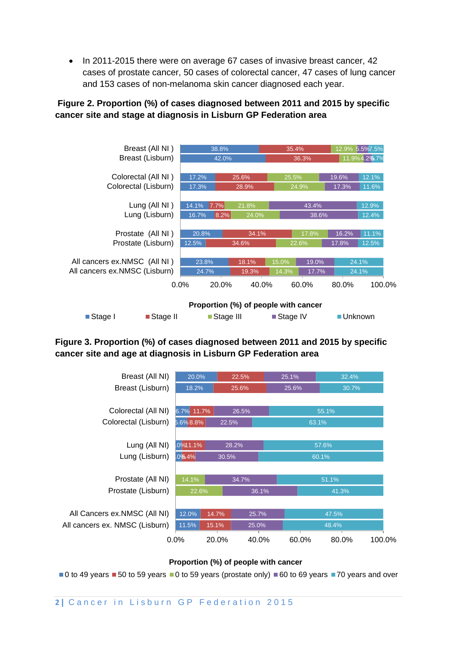• In 2011-2015 there were on average 67 cases of invasive breast cancer, 42 cases of prostate cancer, 50 cases of colorectal cancer, 47 cases of lung cancer and 153 cases of non-melanoma skin cancer diagnosed each year.

## **Figure 2. Proportion (%) of cases diagnosed between 2011 and 2015 by specific cancer site and stage at diagnosis in Lisburn GP Federation area**



### **Figure 3. Proportion (%) of cases diagnosed between 2011 and 2015 by specific cancer site and age at diagnosis in Lisburn GP Federation area**

| Breast (All NI)                | 20.0%               |       | 22.5% | 25.1% | 32.4% |        |  |
|--------------------------------|---------------------|-------|-------|-------|-------|--------|--|
| Breast (Lisburn)               | 18.2%               |       | 25.6% | 25.6% | 30.7% |        |  |
|                                |                     |       |       |       |       |        |  |
| Colorectal (All NI)            | 6.7% 11.7%<br>26.5% |       | 55.1% |       |       |        |  |
| Colorectal (Lisburn)           | 5.6%8.8%<br>22.5%   |       | 63.1% |       |       |        |  |
|                                |                     |       |       |       |       |        |  |
| Lung (All NI)                  | .0%11.1%            | 28.2% |       |       | 57.6% |        |  |
| Lung (Lisburn)                 | 0%6.4%<br>30.5%     |       | 60.1% |       |       |        |  |
|                                |                     |       |       |       |       |        |  |
| Prostate (All NI)              | 14.1%<br>34.7%      |       | 51.1% |       |       |        |  |
| Prostate (Lisburn)             | 22.6%               |       | 36.1% |       | 41.3% |        |  |
|                                |                     |       |       |       |       |        |  |
| All Cancers ex.NMSC (All NI)   | 12.0%               | 14.7% | 25.7% |       | 47.5% |        |  |
| All cancers ex. NMSC (Lisburn) | 11.5%               | 15.1% | 25.0% |       | 48.4% |        |  |
|                                | $0.0\%$             | 20.0% | 40.0% | 60.0% | 80.0% | 100.0% |  |
|                                |                     |       |       |       |       |        |  |

#### **Proportion (%) of people with cancer**

 $\blacksquare$ 0 to 49 years  $\blacksquare$  50 to 59 years  $\blacksquare$ 0 to 59 years (prostate only)  $\blacksquare$  60 to 69 years  $\blacksquare$  70 years and over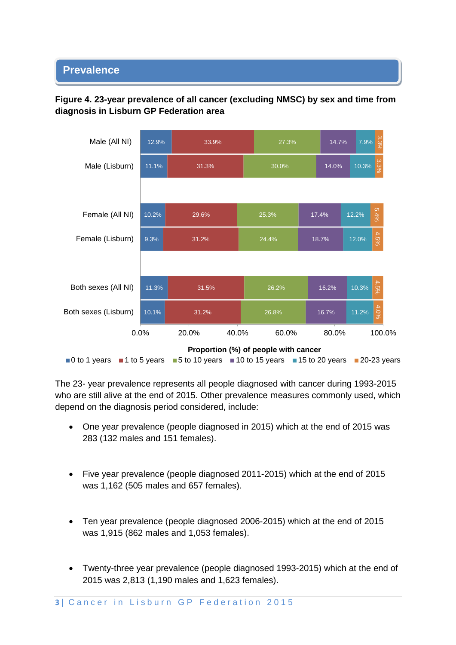#### • **Prevalence**





The 23- year prevalence represents all people diagnosed with cancer during 1993-2015 who are still alive at the end of 2015. Other prevalence measures commonly used, which depend on the diagnosis period considered, include:

- One year prevalence (people diagnosed in 2015) which at the end of 2015 was 283 (132 males and 151 females).
- Five year prevalence (people diagnosed 2011-2015) which at the end of 2015 was 1,162 (505 males and 657 females).
- Ten year prevalence (people diagnosed 2006-2015) which at the end of 2015 was 1,915 (862 males and 1,053 females).
- Twenty-three year prevalence (people diagnosed 1993-2015) which at the end of 2015 was 2,813 (1,190 males and 1,623 females).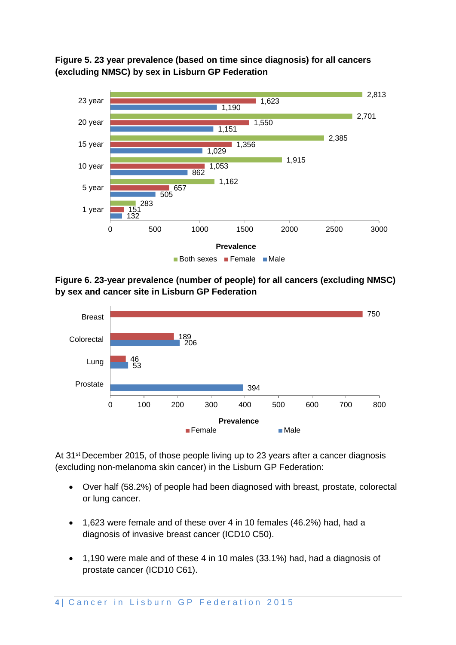**Figure 5. 23 year prevalence (based on time since diagnosis) for all cancers (excluding NMSC) by sex in Lisburn GP Federation** 



**Figure 6. 23-year prevalence (number of people) for all cancers (excluding NMSC) by sex and cancer site in Lisburn GP Federation**



At 31<sup>st</sup> December 2015, of those people living up to 23 years after a cancer diagnosis (excluding non-melanoma skin cancer) in the Lisburn GP Federation:

- Over half (58.2%) of people had been diagnosed with breast, prostate, colorectal or lung cancer.
- 1,623 were female and of these over 4 in 10 females (46.2%) had, had a diagnosis of invasive breast cancer (ICD10 C50).
- 1,190 were male and of these 4 in 10 males (33.1%) had, had a diagnosis of prostate cancer (ICD10 C61).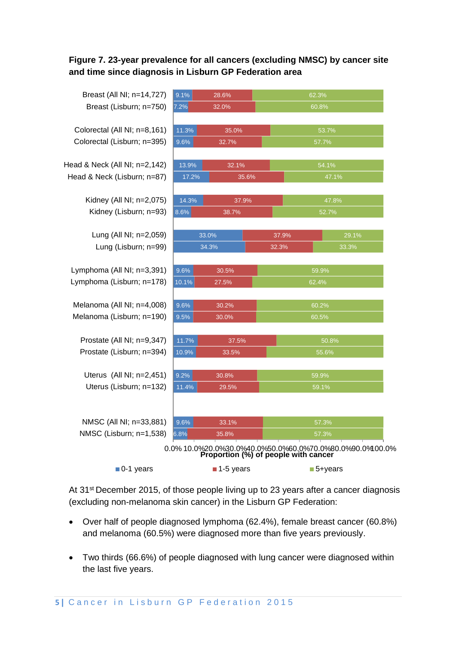## **Figure 7. 23-year prevalence for all cancers (excluding NMSC) by cancer site and time since diagnosis in Lisburn GP Federation area**

| Breast (All NI; n=14,727)     | 9.1%                             | 28.6%     |                                      | 62.3%                                                            |  |  |
|-------------------------------|----------------------------------|-----------|--------------------------------------|------------------------------------------------------------------|--|--|
| Breast (Lisburn; n=750)       | 7.2%                             | 32.0%     |                                      | 60.8%                                                            |  |  |
|                               |                                  |           |                                      |                                                                  |  |  |
| Colorectal (All NI; n=8,161)  | 11.3%<br>35.0%                   |           |                                      | 53.7%                                                            |  |  |
| Colorectal (Lisburn; n=395)   | 9.6%                             | 32.7%     |                                      | 57.7%                                                            |  |  |
| Head & Neck (All NI; n=2,142) | 13.9%                            | 32.1%     |                                      | 54.1%                                                            |  |  |
| Head & Neck (Lisburn; n=87)   | 17.2%                            |           | 35.6%                                | 47.1%                                                            |  |  |
| Kidney (All NI; n=2,075)      | 14.3%                            | 37.9%     |                                      | 47.8%                                                            |  |  |
| Kidney (Lisburn; n=93)        | 8.6%                             | 38.7%     |                                      | 52.7%                                                            |  |  |
|                               |                                  |           |                                      |                                                                  |  |  |
| Lung (All NI; n=2,059)        |                                  | 33.0%     | 37.9%                                | 29.1%                                                            |  |  |
| Lung (Lisburn; n=99)          |                                  | 34.3%     |                                      | 33.3%                                                            |  |  |
| Lymphoma (All NI; n=3,391)    | 9.6%                             | 30.5%     |                                      | 59.9%                                                            |  |  |
| Lymphoma (Lisburn; n=178)     | 10.1%                            | 27.5%     |                                      | 62.4%                                                            |  |  |
|                               |                                  |           |                                      |                                                                  |  |  |
| Melanoma (All NI; n=4,008)    | 9.6%<br>30.2%                    |           |                                      | 60.2%                                                            |  |  |
| Melanoma (Lisburn; n=190)     | 9.5%                             | 30.0%     |                                      | 60.5%                                                            |  |  |
| Prostate (All NI; n=9,347)    |                                  |           |                                      | 50.8%                                                            |  |  |
| Prostate (Lisburn; n=394)     | 11.7%<br>37.5%<br>10.9%<br>33.5% |           |                                      | 55.6%                                                            |  |  |
|                               |                                  |           |                                      |                                                                  |  |  |
| Uterus (All NI; n=2,451)      | 9.2%                             | 30.8%     |                                      | 59.9%                                                            |  |  |
| Uterus (Lisburn; n=132)       | 11.4%                            | 29.5%     | $\overline{59.1\%}$                  |                                                                  |  |  |
|                               |                                  |           |                                      |                                                                  |  |  |
| NMSC (All NI; n=33,881)       | 9.6%                             | 33.1%     |                                      | 57.3%                                                            |  |  |
| NMSC (Lisburn; n=1,538)       | 6.8%                             | 35.8%     |                                      | 57.3%                                                            |  |  |
|                               |                                  |           | Proportion (%) of people with cancer | 0.0% 10.0% 20.0% 30.0% 40.0% 50.0% 60.0% 70.0% 80.0% 90.0% 00.0% |  |  |
| $\blacksquare$ 0-1 years      |                                  | 1-5 years |                                      | ■5+years                                                         |  |  |

At 31<sup>st</sup> December 2015, of those people living up to 23 years after a cancer diagnosis (excluding non-melanoma skin cancer) in the Lisburn GP Federation:

- Over half of people diagnosed lymphoma (62.4%), female breast cancer (60.8%) and melanoma (60.5%) were diagnosed more than five years previously.
- Two thirds (66.6%) of people diagnosed with lung cancer were diagnosed within the last five years.